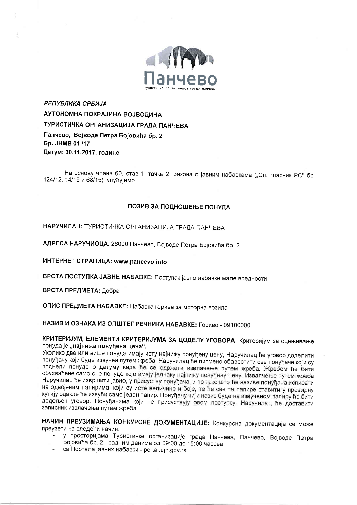

РЕПУБЛИКА СРБИЈА АУТОНОМНА ПОКРАЈИНА ВОЈВОДИНА ТУРИСТИЧКА ОРГАНИЗАЦИЈА ГРАДА ПАНЧЕВА Панчево, Војводе Петра Бојовића бр. 2 **5p. JHMB 01/17** Датум: 30.11.2017. године

На основу члана 60. став 1. тачка 2. Закона о јавним набавкама ("Сл. гласник РС" бр. 124/12, 14/15 и 68/15), упућујемо

#### ПОЗИВ ЗА ПОДНОШЕЊЕ ПОНУДА

НАРУЧИЛАЦ: ТУРИСТИЧКА ОРГАНИЗАЦИЈА ГРАДА ПАНЧЕВА

АДРЕСА НАРУЧИОЦА: 26000 Панчево, Војводе Петра Бојовића бр. 2

ИНТЕРНЕТ СТРАНИЦА: www.pancevo.info

ВРСТА ПОСТУПКА ЈАВНЕ НАБАВКЕ: Поступак јавне набавке мале вредности

ВРСТА ПРЕДМЕТА: Добра

ОПИС ПРЕДМЕТА НАБАВКЕ: Набавка горива за моторна возила

НАЗИВ И ОЗНАКА ИЗ ОПШТЕГ РЕЧНИКА НАБАВКЕ: Гориво - 09100000

КРИТЕРИЈУМ, ЕЛЕМЕНТИ КРИТЕРИЈУМА ЗА ДОДЕЛУ УГОВОРА: Критеријум за оцењивање понуда је "најнижа понуђена цена".

Уколико две или више понуда имају исту најнижу понуђену цену, Наручилац ће уговор доделити понуђачу који буде извучен путем жреба. Наручилац ће писмено обавестити све понуђаче који су поднели понуде о датуму када ће се одржати извлачење путем жреба. Жребом ће бити обухваћене само оне понуде које имају једнаку најнижу понуђену цену. Извалчење путем жреба Наручилац ће извршити јавно, у присуству понуђача, и то тако што ће називе понуђача исписати на одвојеним папирима, који су исте величине и боје, те ће све те папире ставити у провидну кутију одакле ће извући само један папир. Понуђачу чији назив буде на извученом папиру ће бити додељен уговор. Понуђачима који не присуствују овом поступку, Наручилац ће доставити записник извлачења путем жреба.

НАЧИН ПРЕУЗИМАЊА КОНКУРСНЕ ДОКУМЕНТАЦИЈЕ: Конкурсна документација се може преузети на следећи начин:

- у просторијама Туристичке организације града Панчева, Панчево, Војводе Петра Бојовића бр. 2, радним данима од 09:00 до 15:00 часова
- са Портала јавних набавки portal.ujn.gov.rs